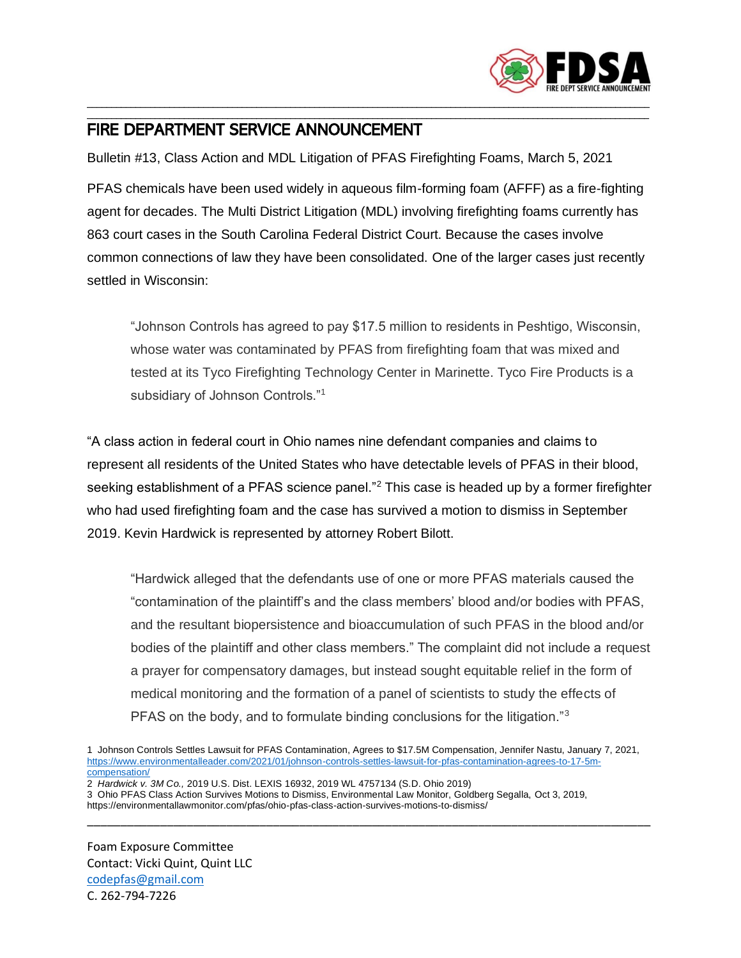

## \_\_\_\_\_\_\_\_\_\_\_\_\_\_\_\_\_\_\_\_\_\_\_\_\_\_\_\_\_\_\_\_\_\_\_\_\_\_\_\_\_\_\_\_\_\_\_\_\_\_\_\_\_\_\_\_\_\_\_\_\_\_\_\_\_\_\_\_\_\_\_\_\_\_\_\_\_\_\_\_\_\_\_\_\_\_\_\_\_\_\_\_\_\_\_\_\_\_\_\_\_\_\_\_\_\_\_\_\_\_\_\_\_\_\_\_ FIRE DEPARTMENT SERVICE ANNOUNCEMENT

Bulletin #13, Class Action and MDL Litigation of PFAS Firefighting Foams, March 5, 2021

PFAS chemicals have been used widely in aqueous film-forming foam (AFFF) as a fire-fighting agent for decades. The Multi District Litigation (MDL) involving firefighting foams currently has 863 court cases in the South Carolina Federal District Court. Because the cases involve common connections of law they have been consolidated. One of the larger cases just recently settled in Wisconsin:

\_\_\_\_\_\_\_\_\_\_\_\_\_\_\_\_\_\_\_\_\_\_\_\_\_\_\_\_\_\_\_\_\_\_\_\_\_\_\_\_\_\_\_\_\_\_\_\_\_\_\_\_\_\_\_\_\_\_\_\_\_\_\_\_\_\_\_\_\_\_\_\_\_\_\_\_\_\_\_\_\_\_\_\_\_\_\_\_\_\_\_\_\_\_\_\_\_\_\_\_\_\_\_\_\_\_\_\_\_\_\_\_\_\_\_\_

"Johnson Controls has agreed to pay \$17.5 million to residents in Peshtigo, Wisconsin, whose water was contaminated by PFAS from firefighting foam that was mixed and tested at its Tyco Firefighting Technology Center in Marinette. Tyco Fire Products is a subsidiary of Johnson Controls."<sup>1</sup>

"A class action in federal court in Ohio names nine defendant companies and claims to represent all residents of the United States who have detectable levels of PFAS in their blood, seeking establishment of a PFAS science panel."<sup>2</sup> This case is headed up by a former firefighter who had used firefighting foam and the case has survived a motion to dismiss in September 2019. Kevin Hardwick is represented by attorney Robert Bilott.

"Hardwick alleged that the defendants use of one or more PFAS materials caused the "contamination of the plaintiff's and the class members' blood and/or bodies with PFAS, and the resultant biopersistence and bioaccumulation of such PFAS in the blood and/or bodies of the plaintiff and other class members." The complaint did not include a request a prayer for compensatory damages, but instead sought equitable relief in the form of medical monitoring and the formation of a panel of scientists to study the effects of PFAS on the body, and to formulate binding conclusions for the litigation."<sup>3</sup>

\_\_\_\_\_\_\_\_\_\_\_\_\_\_\_\_\_\_\_\_\_\_\_\_\_\_\_\_\_\_\_\_\_\_\_\_\_\_\_\_\_\_\_\_\_\_\_\_\_\_\_\_\_\_\_\_\_\_\_\_\_\_\_\_\_\_\_\_\_\_\_\_\_\_\_\_\_\_\_\_\_\_\_\_\_

2 *Hardwick v. 3M Co.,* 2019 U.S. Dist. LEXIS 16932, 2019 WL 4757134 (S.D. Ohio 2019)

Foam Exposure Committee Contact: Vicki Quint, Quint LLC [codepfas@gmail.com](mailto:codepfas@gmail.com) C. 262-794-7226

<sup>1</sup> Johnson Controls Settles Lawsuit for PFAS Contamination, Agrees to \$17.5M Compensation, Jennifer Nastu, January 7, 2021, [https://www.environmentalleader.com/2021/01/johnson-controls-settles-lawsuit-for-pfas-contamination-agrees-to-17-5m](https://www.environmentalleader.com/2021/01/johnson-controls-settles-lawsuit-for-pfas-contamination-agrees-to-17-5m-compensation/)[compensation/](https://www.environmentalleader.com/2021/01/johnson-controls-settles-lawsuit-for-pfas-contamination-agrees-to-17-5m-compensation/)

<sup>3</sup> Ohio PFAS Class Action Survives Motions to Dismiss, Environmental Law Monitor, Goldberg Segalla, Oct 3, 2019, https://environmentallawmonitor.com/pfas/ohio-pfas-class-action-survives-motions-to-dismiss/